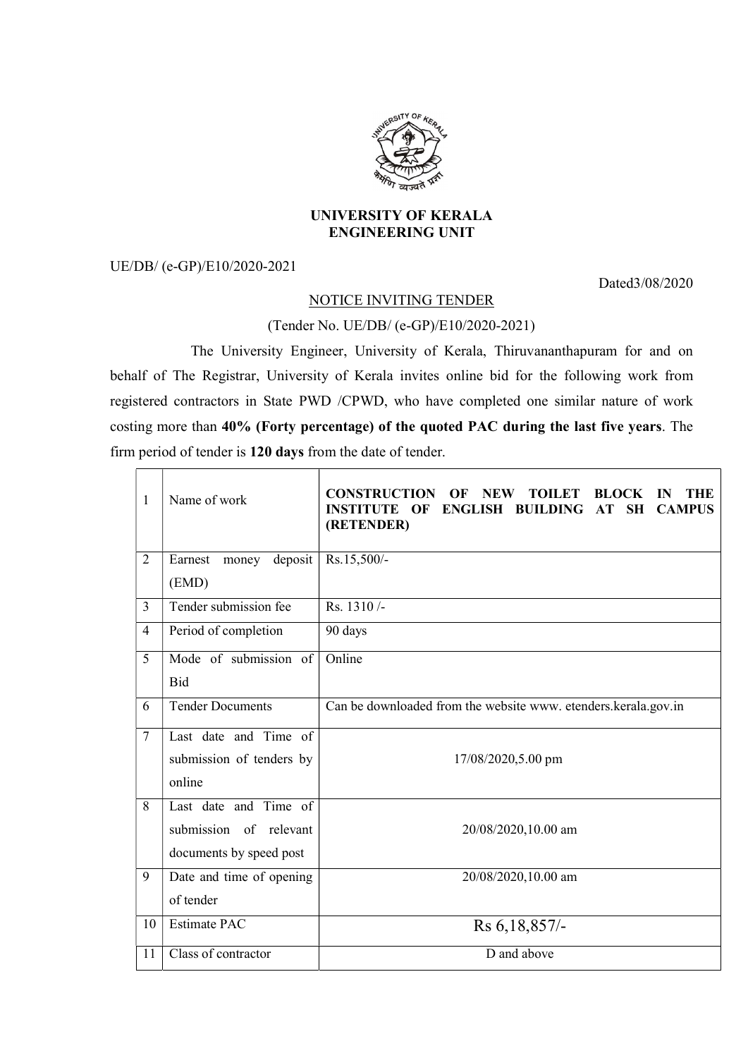

## UNIVERSITY OF KERALA ENGINEERING UNIT

UE/DB/ (e-GP)/E10/2020-2021

Dated3/08/2020

## NOTICE INVITING TENDER

## (Tender No. UE/DB/ (e-GP)/E10/2020-2021)

 The University Engineer, University of Kerala, Thiruvananthapuram for and on behalf of The Registrar, University of Kerala invites online bid for the following work from registered contractors in State PWD /CPWD, who have completed one similar nature of work costing more than 40% (Forty percentage) of the quoted PAC during the last five years. The firm period of tender is 120 days from the date of tender.

| 1              | Name of work             | <b>CONSTRUCTION</b><br>OF<br><b>NEW</b><br><b>TOILET</b><br><b>BLOCK</b><br>OF<br><b>ENGLISH</b><br>BUILDING<br><b>SH</b><br><b>CAMPUS</b><br><b>INSTITUTE</b><br>AT<br>(RETENDER) |
|----------------|--------------------------|------------------------------------------------------------------------------------------------------------------------------------------------------------------------------------|
| $\overline{2}$ | money deposit<br>Earnest | Rs.15,500/-                                                                                                                                                                        |
|                | (EMD)                    |                                                                                                                                                                                    |
| 3              | Tender submission fee    | $Rs. 1310/-$                                                                                                                                                                       |
| $\overline{4}$ | Period of completion     | 90 days                                                                                                                                                                            |
| 5              | Mode of submission of    | Online                                                                                                                                                                             |
|                | Bid                      |                                                                                                                                                                                    |
| 6              | <b>Tender Documents</b>  | Can be downloaded from the website www. etenders.kerala.gov.in                                                                                                                     |
| $\tau$         | Last date and Time of    |                                                                                                                                                                                    |
|                | submission of tenders by | 17/08/2020,5.00 pm                                                                                                                                                                 |
|                | online                   |                                                                                                                                                                                    |
| 8              | Last date and Time of    |                                                                                                                                                                                    |
|                | submission of relevant   | 20/08/2020,10.00 am                                                                                                                                                                |
|                | documents by speed post  |                                                                                                                                                                                    |
| 9              | Date and time of opening | 20/08/2020,10.00 am                                                                                                                                                                |
|                | of tender                |                                                                                                                                                                                    |
| 10             | Estimate PAC             | Rs 6, 18, 857/-                                                                                                                                                                    |
| 11             | Class of contractor      | D and above                                                                                                                                                                        |